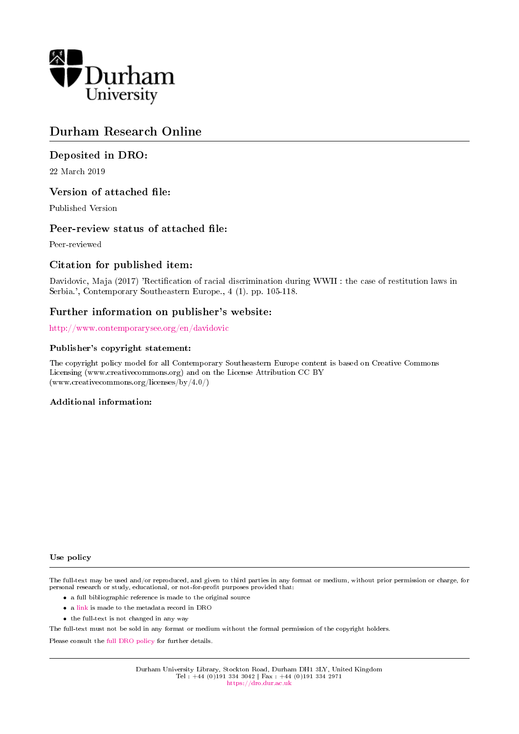

# Durham Research Online

# Deposited in DRO:

22 March 2019

## Version of attached file:

Published Version

## Peer-review status of attached file:

Peer-reviewed

# Citation for published item:

Davidovic, Maja (2017) 'Rectification of racial discrimination during WWII : the case of restitution laws in Serbia.', Contemporary Southeastern Europe., 4 (1). pp. 105-118.

# Further information on publisher's website:

<http://www.contemporarysee.org/en/davidovic>

## Publisher's copyright statement:

The copyright policy model for all Contemporary Southeastern Europe content is based on Creative Commons Licensing (www.creativecommons.org) and on the License Attribution CC BY (www.creativecommons.org/licenses/by/4.0/)

## Additional information:

## Use policy

The full-text may be used and/or reproduced, and given to third parties in any format or medium, without prior permission or charge, for personal research or study, educational, or not-for-profit purposes provided that:

- a full bibliographic reference is made to the original source
- a [link](http://dro.dur.ac.uk/27753/) is made to the metadata record in DRO
- the full-text is not changed in any way

The full-text must not be sold in any format or medium without the formal permission of the copyright holders.

Please consult the [full DRO policy](https://dro.dur.ac.uk/policies/usepolicy.pdf) for further details.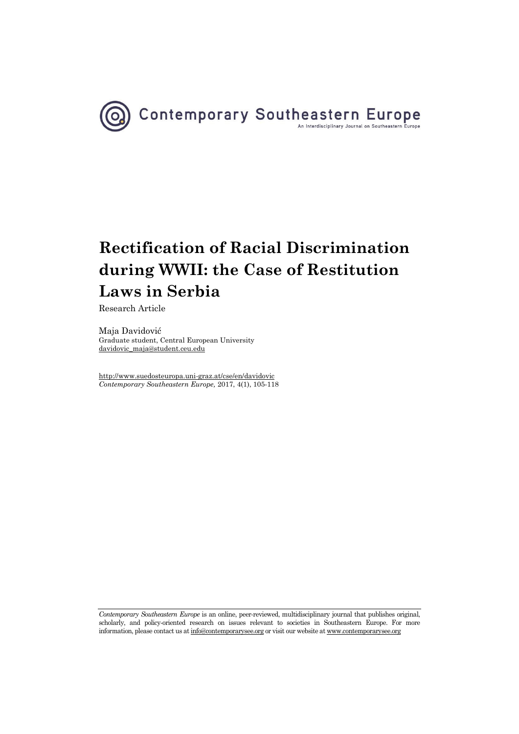

Research Article

Maja Davidović Graduate student[, Central European University](http://www.suedosteuropa.uni-graz.at/cse/en/taxonomy/term/445)  [davidovic\\_maja@student.ceu.edu](mailto:davidovic_maja@student.ceu.edu) 

<http://www.suedosteuropa.uni-graz.at/cse/en/davidovic> *Contemporary Southeastern Europe,* 2017, 4(1), 105-118

*Contemporary Southeastern Europe* is an online, peer-reviewed, multidisciplinary journal that publishes original, scholarly, and policy-oriented research on issues relevant to societies in Southeastern Europe. For more information, please contact us a[t info@contemporarysee.org o](mailto:info@contemporarysee.org)r visit our website a[t www.contemporarysee.org](http://www.contemporarysee.org/)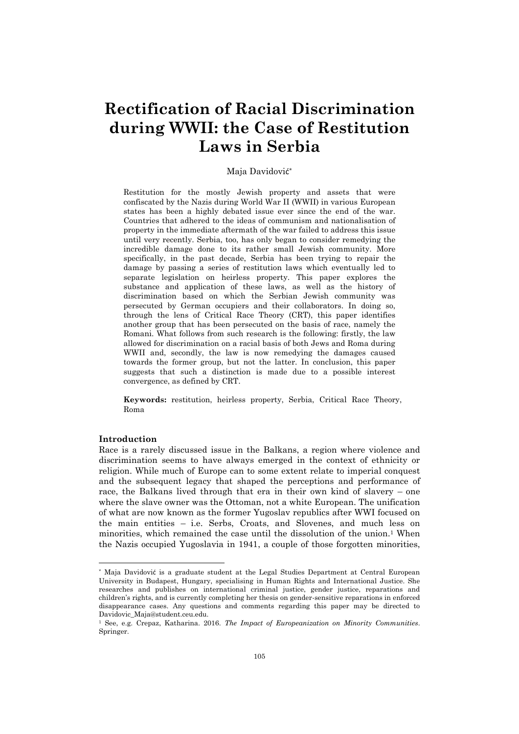### Maja Davidović \*

Restitution for the mostly Jewish property and assets that were confiscated by the Nazis during World War II (WWII) in various European states has been a highly debated issue ever since the end of the war. Countries that adhered to the ideas of communism and nationalisation of property in the immediate aftermath of the war failed to address this issue until very recently. Serbia, too, has only began to consider remedying the incredible damage done to its rather small Jewish community. More specifically, in the past decade, Serbia has been trying to repair the damage by passing a series of restitution laws which eventually led to separate legislation on heirless property. This paper explores the substance and application of these laws, as well as the history of discrimination based on which the Serbian Jewish community was persecuted by German occupiers and their collaborators. In doing so, through the lens of Critical Race Theory (CRT), this paper identifies another group that has been persecuted on the basis of race, namely the Romani. What follows from such research is the following: firstly, the law allowed for discrimination on a racial basis of both Jews and Roma during WWII and, secondly, the law is now remedying the damages caused towards the former group, but not the latter. In conclusion, this paper suggests that such a distinction is made due to a possible interest convergence, as defined by CRT.

**Keywords:** restitution, heirless property, Serbia, Critical Race Theory, Roma

#### **Introduction**

l

Race is a rarely discussed issue in the Balkans, a region where violence and discrimination seems to have always emerged in the context of ethnicity or religion. While much of Europe can to some extent relate to imperial conquest and the subsequent legacy that shaped the perceptions and performance of race, the Balkans lived through that era in their own kind of slavery – one where the slave owner was the Ottoman, not a white European. The unification of what are now known as the former Yugoslav republics after WWI focused on the main entities – i.e. Serbs, Croats, and Slovenes, and much less on minorities, which remained the case until the dissolution of the union.1 When the Nazis occupied Yugoslavia in 1941, a couple of those forgotten minorities,

<sup>\*</sup> Maja Davidović is a graduate student at the Legal Studies Department at Central European University in Budapest, Hungary, specialising in Human Rights and International Justice. She researches and publishes on international criminal justice, gender justice, reparations and children's rights, and is currently completing her thesis on gender-sensitive reparations in enforced disappearance cases. Any questions and comments regarding this paper may be directed to Davidovic\_Maja@student.ceu.edu.

<sup>1</sup> See, e.g. Crepaz, Katharina. 2016. *The Impact of Europeanization on Minority Communities*. Springer.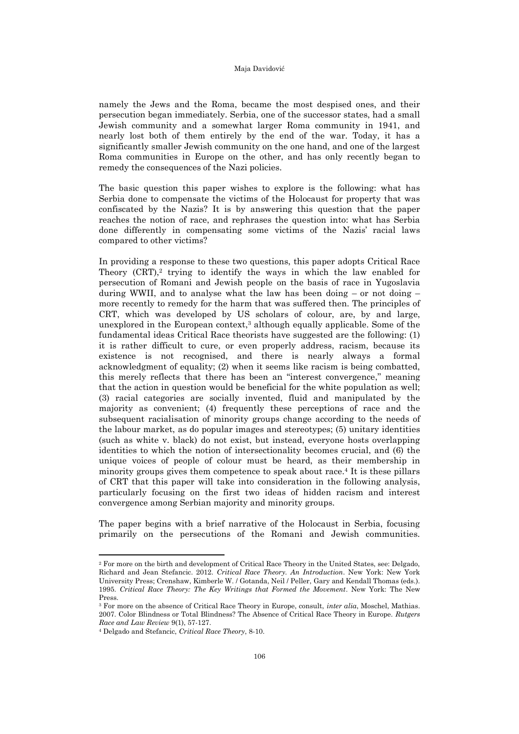namely the Jews and the Roma, became the most despised ones, and their persecution began immediately. Serbia, one of the successor states, had a small Jewish community and a somewhat larger Roma community in 1941, and nearly lost both of them entirely by the end of the war. Today, it has a significantly smaller Jewish community on the one hand, and one of the largest Roma communities in Europe on the other, and has only recently began to remedy the consequences of the Nazi policies.

The basic question this paper wishes to explore is the following: what has Serbia done to compensate the victims of the Holocaust for property that was confiscated by the Nazis? It is by answering this question that the paper reaches the notion of race, and rephrases the question into: what has Serbia done differently in compensating some victims of the Nazis' racial laws compared to other victims?

In providing a response to these two questions, this paper adopts Critical Race Theory  $(CRT)$ ,<sup>2</sup> trying to identify the ways in which the law enabled for persecution of Romani and Jewish people on the basis of race in Yugoslavia during WWII, and to analyse what the law has been doing  $-$  or not doing  $$ more recently to remedy for the harm that was suffered then. The principles of CRT, which was developed by US scholars of colour, are, by and large, unexplored in the European context,<sup>3</sup> although equally applicable. Some of the fundamental ideas Critical Race theorists have suggested are the following: (1) it is rather difficult to cure, or even properly address, racism, because its existence is not recognised, and there is nearly always a formal acknowledgment of equality; (2) when it seems like racism is being combatted, this merely reflects that there has been an "interest convergence,'' meaning that the action in question would be beneficial for the white population as well; (3) racial categories are socially invented, fluid and manipulated by the majority as convenient; (4) frequently these perceptions of race and the subsequent racialisation of minority groups change according to the needs of the labour market, as do popular images and stereotypes; (5) unitary identities (such as white v. black) do not exist, but instead, everyone hosts overlapping identities to which the notion of intersectionality becomes crucial, and (6) the unique voices of people of colour must be heard, as their membership in minority groups gives them competence to speak about race.<sup>4</sup> It is these pillars of CRT that this paper will take into consideration in the following analysis, particularly focusing on the first two ideas of hidden racism and interest convergence among Serbian majority and minority groups.

The paper begins with a brief narrative of the Holocaust in Serbia, focusing primarily on the persecutions of the Romani and Jewish communities.

<sup>2</sup> For more on the birth and development of Critical Race Theory in the United States, see: Delgado, Richard and Jean Stefancic. 2012. *Critical Race Theory. An Introduction*. New York: New York University Press; Crenshaw, Kimberle W. / Gotanda, Neil / Peller, Gary and Kendall Thomas (eds.). 1995. *Critical Race Theory: The Key Writings that Formed the Movement*. New York: The New Press.

<sup>3</sup> For more on the absence of Critical Race Theory in Europe, consult, *inter alia*, Moschel, Mathias. 2007. Color Blindness or Total Blindness? The Absence of Critical Race Theory in Europe. *Rutgers Race and Law Review* 9(1), 57-127.

<sup>4</sup> Delgado and Stefancic, *Critical Race Theory*, 8-10.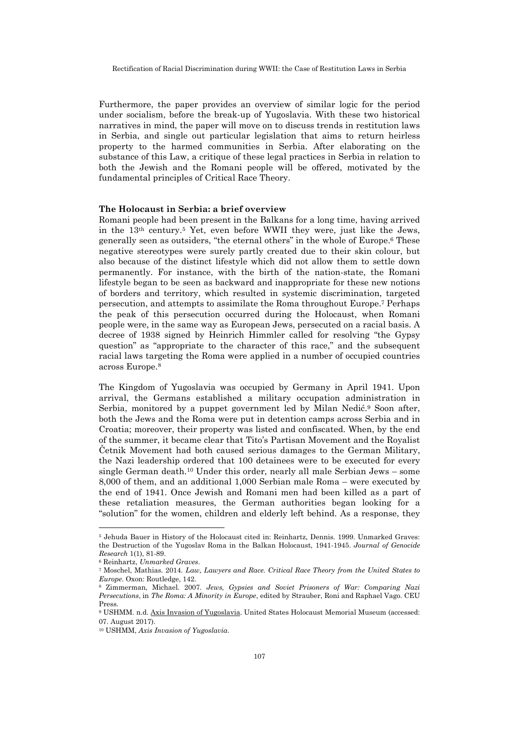Furthermore, the paper provides an overview of similar logic for the period under socialism, before the break-up of Yugoslavia. With these two historical narratives in mind, the paper will move on to discuss trends in restitution laws in Serbia, and single out particular legislation that aims to return heirless property to the harmed communities in Serbia. After elaborating on the substance of this Law, a critique of these legal practices in Serbia in relation to both the Jewish and the Romani people will be offered, motivated by the fundamental principles of Critical Race Theory.

#### **The Holocaust in Serbia: a brief overview**

Romani people had been present in the Balkans for a long time, having arrived in the 13th century.5 Yet, even before WWII they were, just like the Jews, generally seen as outsiders, "the eternal others" in the whole of Europe.6 These negative stereotypes were surely partly created due to their skin colour, but also because of the distinct lifestyle which did not allow them to settle down permanently. For instance, with the birth of the nation-state, the Romani lifestyle began to be seen as backward and inappropriate for these new notions of borders and territory, which resulted in systemic discrimination, targeted persecution, and attempts to assimilate the Roma throughout Europe.7 Perhaps the peak of this persecution occurred during the Holocaust, when Romani people were, in the same way as European Jews, persecuted on a racial basis. A decree of 1938 signed by Heinrich Himmler called for resolving "the Gypsy question" as "appropriate to the character of this race," and the subsequent racial laws targeting the Roma were applied in a number of occupied countries across Europe.<sup>8</sup>

The Kingdom of Yugoslavia was occupied by Germany in April 1941. Upon arrival, the Germans established a military occupation administration in Serbia, monitored by a puppet government led by Milan Nedić.<sup>9</sup> Soon after, both the Jews and the Roma were put in detention camps across Serbia and in Croatia; moreover, their property was listed and confiscated. When, by the end of the summer, it became clear that Tito's Partisan Movement and the Royalist Četnik Movement had both caused serious damages to the German Military, the Nazi leadership ordered that 100 detainees were to be executed for every single German death.10 Under this order, nearly all male Serbian Jews – some 8,000 of them, and an additional 1,000 Serbian male Roma – were executed by the end of 1941. Once Jewish and Romani men had been killed as a part of these retaliation measures, the German authorities began looking for a "solution" for the women, children and elderly left behind. As a response, they

<sup>5</sup> Jehuda Bauer in History of the Holocaust cited in: Reinhartz, Dennis. 1999. Unmarked Graves: the Destruction of the Yugoslav Roma in the Balkan Holocaust, 1941-1945. *Journal of Genocide Research* 1(1), 81-89.

<sup>6</sup> Reinhartz, *Unmarked Graves*.

<sup>7</sup> Moschel, Mathias. 2014. *Law, Lawyers and Race. Critical Race Theory from the United States to Europe*. Oxon: Routledge, 142.

<sup>8</sup> Zimmerman, Michael. 2007. *Jews, Gypsies and Soviet Prisoners of War: Comparing Nazi Persecutions*, in *The Roma: A Minority in Europe*, edited by Strauber, Roni and Raphael Vago. CEU Press.

<sup>9</sup> USHMM. n.d[. Axis Invasion of Yugoslavia.](https://www.ushmm.org/wlc/en/article.php?ModuleId=10005456) United States Holocaust Memorial Museum (accessed: 07. August 2017).

<sup>10</sup> USHMM, *Axis Invasion of Yugoslavia*.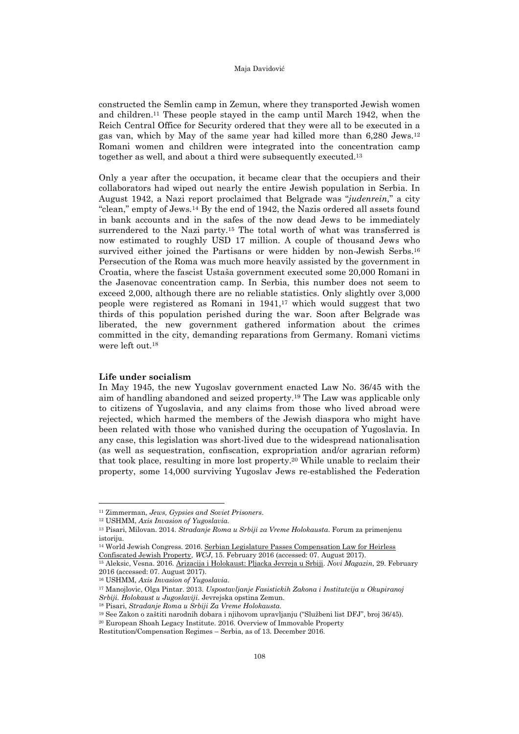constructed the Semlin camp in Zemun, where they transported Jewish women and children.11 These people stayed in the camp until March 1942, when the Reich Central Office for Security ordered that they were all to be executed in a gas van, which by May of the same year had killed more than 6,280 Jews.<sup>12</sup> Romani women and children were integrated into the concentration camp together as well, and about a third were subsequently executed.<sup>13</sup>

Only a year after the occupation, it became clear that the occupiers and their collaborators had wiped out nearly the entire Jewish population in Serbia. In August 1942, a Nazi report proclaimed that Belgrade was "*judenrein,*" a city "clean," empty of Jews.<sup>14</sup> By the end of 1942, the Nazis ordered all assets found in bank accounts and in the safes of the now dead Jews to be immediately surrendered to the Nazi party.15 The total worth of what was transferred is now estimated to roughly USD 17 million. A couple of thousand Jews who survived either joined the Partisans or were hidden by non-Jewish Serbs.<sup>16</sup> Persecution of the Roma was much more heavily assisted by the government in Croatia, where the fascist Ustaša government executed some 20,000 Romani in the Jasenovac concentration camp. In Serbia, this number does not seem to exceed 2,000, although there are no reliable statistics. Only slightly over 3,000 people were registered as Romani in 1941,17 which would suggest that two thirds of this population perished during the war. Soon after Belgrade was liberated, the new government gathered information about the crimes committed in the city, demanding reparations from Germany. Romani victims were left out.<sup>18</sup>

## **Life under socialism**

In May 1945, the new Yugoslav government enacted Law No. 36/45 with the aim of handling abandoned and seized property.19 The Law was applicable only to citizens of Yugoslavia, and any claims from those who lived abroad were rejected, which harmed the members of the Jewish diaspora who might have been related with those who vanished during the occupation of Yugoslavia. In any case, this legislation was short-lived due to the widespread nationalisation (as well as sequestration, confiscation, expropriation and/or agrarian reform) that took place, resulting in more lost property.20 While unable to reclaim their property, some 14,000 surviving Yugoslav Jews re-established the Federation

l

<sup>11</sup> Zimmerman, *Jews, Gypsies and Soviet Prisoners*.

<sup>12</sup> USHMM, *Axis Invasion of Yugoslavia.*

<sup>13</sup> Pisari, Milovan. 2014. *Stradanje Roma u Srbiji za Vreme Holokausta*. Forum za primenjenu istoriju

<sup>&</sup>lt;sup>14</sup> World Jewish Congress. 2016. Serbian Legislature Passes Compensation Law for Heirless [Confiscated Jewish Property,](http://www.worldjewishcongress.org/en/news/serbian-legislature-passes-compensation-law-for-heirless-confiscated-jewish-property-2-1-2016) *WCJ*, 15. February 2016 (accessed: 07. August 2017).

<sup>15</sup> Aleksic, Vesna. 2016. [Arizacija i Holokaust: Pljacka Jevreja u Srbiji.](http://www.b92.net/info/vesti/pregled_stampe.php?yyyy=2016&mm=02&dd=29&nav_id=1101999) *Novi Magazin*, 29. February 2016 (accessed: 07. August 2017).

<sup>16</sup> USHMM, *Axis Invasion of Yugoslavia*.

<sup>17</sup> Manojlovic, Olga Pintar. 2013. *Uspostavljanje Fasistickih Zakona i Institutcija u Okupiranoj Srbiji. Holokaust u Jugoslaviji*. Jevrejska opstina Zemun.

<sup>18</sup> Pisari, *Stradanje Roma u Srbiji Za Vreme Holokausta.*

<sup>19</sup> See Zakon o zaštiti narodnih dobara i njihovom upravljanju ("Službeni list DFJ", broj 36/45).

<sup>20</sup> European Shoah Legacy Institute. 2016. Overview of Immovable Property

Restitution/Compensation Regimes – Serbia, as of 13. December 2016.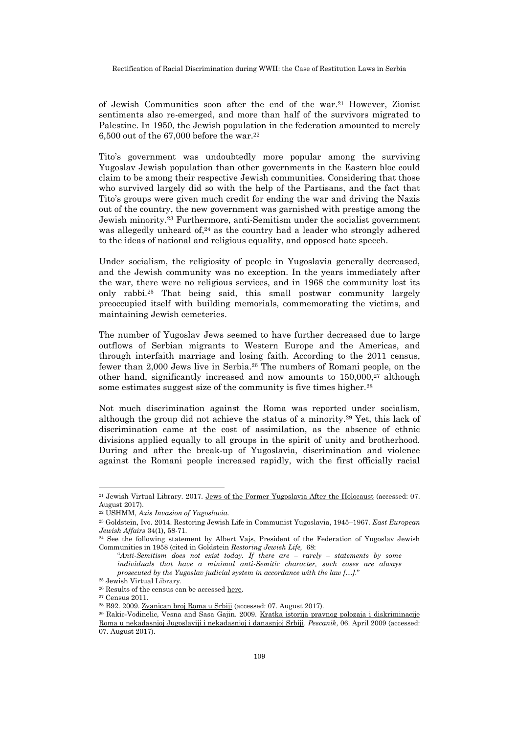of Jewish Communities soon after the end of the war.21 However, Zionist sentiments also re-emerged, and more than half of the survivors migrated to Palestine. In 1950, the Jewish population in the federation amounted to merely 6,500 out of the  $67,000$  before the war.<sup>22</sup>

Tito's government was undoubtedly more popular among the surviving Yugoslav Jewish population than other governments in the Eastern bloc could claim to be among their respective Jewish communities. Considering that those who survived largely did so with the help of the Partisans, and the fact that Tito's groups were given much credit for ending the war and driving the Nazis out of the country, the new government was garnished with prestige among the Jewish minority.23 Furthermore, anti-Semitism under the socialist government was allegedly unheard of, <sup>24</sup> as the country had a leader who strongly adhered to the ideas of national and religious equality, and opposed hate speech.

Under socialism, the religiosity of people in Yugoslavia generally decreased, and the Jewish community was no exception. In the years immediately after the war, there were no religious services, and in 1968 the community lost its only rabbi.25 That being said, this small postwar community largely preoccupied itself with building memorials, commemorating the victims, and maintaining Jewish cemeteries.

The number of Yugoslav Jews seemed to have further decreased due to large outflows of Serbian migrants to Western Europe and the Americas, and through interfaith marriage and losing faith. According to the 2011 census, fewer than 2,000 Jews live in Serbia.26 The numbers of Romani people, on the other hand, significantly increased and now amounts to 150,000,<sup>27</sup> although some estimates suggest size of the community is five times higher.<sup>28</sup>

Not much discrimination against the Roma was reported under socialism, although the group did not achieve the status of a minority.29 Yet, this lack of discrimination came at the cost of assimilation, as the absence of ethnic divisions applied equally to all groups in the spirit of unity and brotherhood. During and after the break-up of Yugoslavia, discrimination and violence against the Romani people increased rapidly, with the first officially racial

<sup>21</sup> Jewish Virtual Library. 2017. [Jews of the Former Yugoslavia After the Holocaust](http://www.jewishvirtuallibrary.org/jews-of-the-former-yugoslavia-after-the-holocaust) (accessed: 07. August 2017).

<sup>22</sup> USHMM, *Axis Invasion of Yugoslavia.*

<sup>23</sup> Goldstein, Ivo. 2014. Restoring Jewish Life in Communist Yugoslavia, 1945–1967. *East European Jewish Affairs* 34(1), 58-71.

<sup>24</sup> See the following statement by Albert Vajs, President of the Federation of Yugoslav Jewish Communities in 1958 (cited in Goldstein *Restoring Jewish Life,* 68:

<sup>&</sup>quot;*Anti-Semitism does not exist today. If there are – rarely – statements by some individuals that have a minimal anti-Semitic character, such cases are always prosecuted by the Yugoslav judicial system in accordance with the law […].*"

<sup>25</sup> Jewish Virtual Library. <sup>26</sup> Results of the census can be accesse[d here.](http://popis2011.stat.rs/?page_id=2162)

<sup>27</sup> Census 2011.

<sup>28</sup> B92. 2009[. Zvanican broj Roma u Srbiji \(](http://www.b92.net/info/vesti/index.php?yyyy=2009&mm=04&dd=07&nav_id=354362)accessed: 07. August 2017).

<sup>29</sup> Rakic-Vodinelic, Vesna and Sasa Gajin. 2009. [Kratka istorija pravnog polozaja i diskriminacije](http://pescanik.net/kratka-istorija-diskriminacije-roma/) 

[Roma u nekadasnjoj Jugoslaviji i nekadasnjoj i danasnjoj Srbiji.](http://pescanik.net/kratka-istorija-diskriminacije-roma/) *Pescanik*, 06. April 2009 (accessed: 07. August 2017).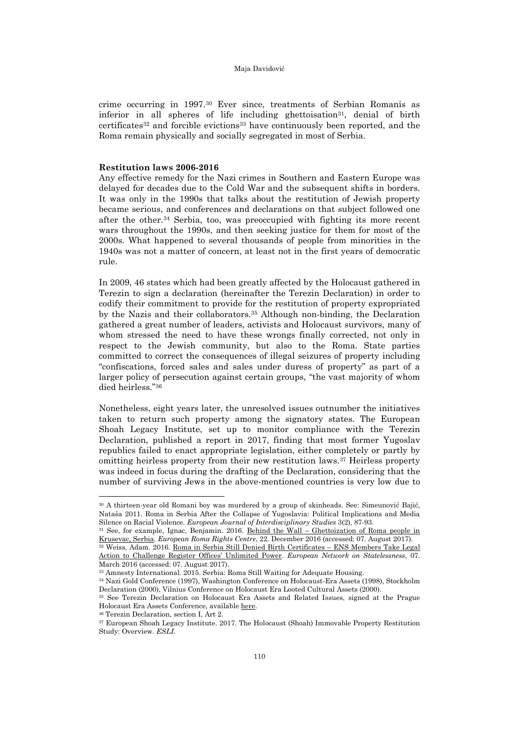crime occurring in 1997.30 Ever since, treatments of Serbian Romanis as inferior in all spheres of life including ghettoisation<sup>31</sup>, denial of birth certificates32 and forcible evictions33 have continuously been reported, and the Roma remain physically and socially segregated in most of Serbia.

## **Restitution laws 2006-2016**

Any effective remedy for the Nazi crimes in Southern and Eastern Europe was delayed for decades due to the Cold War and the subsequent shifts in borders. It was only in the 1990s that talks about the restitution of Jewish property became serious, and conferences and declarations on that subject followed one after the other.34 Serbia, too, was preoccupied with fighting its more recent wars throughout the 1990s, and then seeking justice for them for most of the 2000s. What happened to several thousands of people from minorities in the 1940s was not a matter of concern, at least not in the first years of democratic rule.

In 2009, 46 states which had been greatly affected by the Holocaust gathered in Terezin to sign a declaration (hereinafter the Terezin Declaration) in order to codify their commitment to provide for the restitution of property expropriated by the Nazis and their collaborators.35 Although non-binding, the Declaration gathered a great number of leaders, activists and Holocaust survivors, many of whom stressed the need to have these wrongs finally corrected, not only in respect to the Jewish community, but also to the Roma. State parties committed to correct the consequences of illegal seizures of property including "confiscations, forced sales and sales under duress of property" as part of a larger policy of persecution against certain groups, "the vast majority of whom died heirless." 36

Nonetheless, eight years later, the unresolved issues outnumber the initiatives taken to return such property among the signatory states. The European Shoah Legacy Institute, set up to monitor compliance with the Terezin Declaration, published a report in 2017, finding that most former Yugoslav republics failed to enact appropriate legislation, either completely or partly by omitting heirless property from their new restitution laws.37 Heirless property was indeed in focus during the drafting of the Declaration, considering that the number of surviving Jews in the above-mentioned countries is very low due to

<sup>30</sup> A thirteen-year old Romani boy was murdered by a group of skinheads. See: Simeunović Bajić, Nataša 2011. Roma in Serbia After the Collapse of Yugoslavia: Political Implications and Media Silence on Racial Violence. *European Journal of Interdisciplinary Studies* 3(2), 87-93.

<sup>31</sup> See, for example, Ignac, Benjamin. 2016. Behind the Wall – [Ghettoization of Roma people in](http://www.errc.org/blog/behind-the-wall-%E2%80%93-ghettoization-of-roma-people-in-krusevac-serbia/148)  [Krusevac, Serbia.](http://www.errc.org/blog/behind-the-wall-%E2%80%93-ghettoization-of-roma-people-in-krusevac-serbia/148) *European Roma Rights Centre*, 22. December 2016 (accessed: 07. August 2017). <sup>32</sup> Weiss, Adam. 2016. [Roma in Serbia Still Denied Birth Certificates](http://www.statelessness.eu/blog/roma-serbia-still-denied-birth-certificates-ens-members-take-legal-action-challenge-register) – ENS Members Take Legal

[Action to Challenge Register Offices' Unlimited Power](http://www.statelessness.eu/blog/roma-serbia-still-denied-birth-certificates-ens-members-take-legal-action-challenge-register). *European Network on Statelessness*, 07. March 2016 (accessed: 07. August 2017).

<sup>33</sup> Amnesty International. 2015. Serbia: Roma Still Waiting for Adequate Housing.

<sup>34</sup> Nazi Gold Conference (1997), Washington Conference on Holocaust-Era Assets (1998), Stockholm Declaration (2000), Vilnius Conference on Holocaust Era Looted Cultural Assets (2000).

<sup>35</sup> See Terezin Declaration on Holocaust Era Assets and Related Issues, signed at the Prague Holocaust Era Assets Conference, availabl[e here.](http://www.eu2009.cz/en/news-and-documents/news/terezin-declaration-26304/)

<sup>36</sup> Terezin Declaration, section I, Art 2.

<sup>37</sup> European Shoah Legacy Institute. 2017. The Holocaust (Shoah) Immovable Property Restitution Study: Overview. *ESLI.*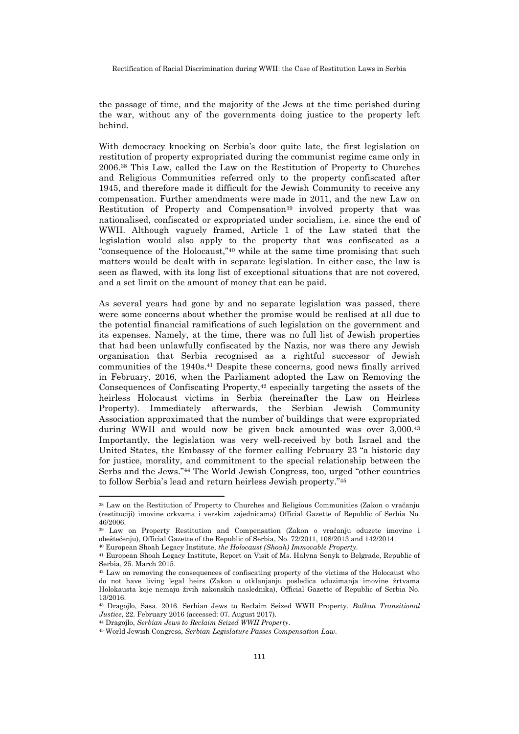the passage of time, and the majority of the Jews at the time perished during the war, without any of the governments doing justice to the property left behind.

With democracy knocking on Serbia's door quite late, the first legislation on restitution of property expropriated during the communist regime came only in 2006.38 This Law, called the Law on the Restitution of Property to Churches and Religious Communities referred only to the property confiscated after 1945, and therefore made it difficult for the Jewish Community to receive any compensation. Further amendments were made in 2011, and the new Law on Restitution of Property and Compensation<sup>39</sup> involved property that was nationalised, confiscated or expropriated under socialism, i.e. since the end of WWII. Although vaguely framed, Article 1 of the Law stated that the legislation would also apply to the property that was confiscated as a "consequence of the Holocaust," <sup>40</sup> while at the same time promising that such matters would be dealt with in separate legislation. In either case, the law is seen as flawed, with its long list of exceptional situations that are not covered, and a set limit on the amount of money that can be paid.

As several years had gone by and no separate legislation was passed, there were some concerns about whether the promise would be realised at all due to the potential financial ramifications of such legislation on the government and its expenses. Namely, at the time, there was no full list of Jewish properties that had been unlawfully confiscated by the Nazis, nor was there any Jewish organisation that Serbia recognised as a rightful successor of Jewish communities of the 1940s.41 Despite these concerns, good news finally arrived in February, 2016, when the Parliament adopted the Law on Removing the Consequences of Confiscating Property,<sup>42</sup> especially targeting the assets of the heirless Holocaust victims in Serbia (hereinafter the Law on Heirless Property). Immediately afterwards, the Serbian Jewish Community Association approximated that the number of buildings that were expropriated during WWII and would now be given back amounted was over 3,000.<sup>43</sup> Importantly, the legislation was very well-received by both Israel and the United States, the Embassy of the former calling February 23 "a historic day for justice, morality, and commitment to the special relationship between the Serbs and the Jews." <sup>44</sup> The World Jewish Congress, too, urged "other countries to follow Serbia's lead and return heirless Jewish property." 45

l

<sup>38</sup> Law on the Restitution of Property to Churches and Religious Communities (Zakon o vraćanju (restituciji) imovine crkvama i verskim zajednicama) Official Gazette of Republic of Serbia No. 46/2006.

<sup>39</sup> Law on Property Restitution and Compensation (Zakon o vraćanju oduzete imovine i obeštećenju), Official Gazette of the Republic of Serbia, No. 72/2011, 108/2013 and 142/2014.

<sup>40</sup> European Shoah Legacy Institute, *the Holocaust (Shoah) Immovable Property*. <sup>41</sup> European Shoah Legacy Institute, Report on Visit of Ms. Halyna Senyk to Belgrade, Republic of

Serbia, 25. March 2015.

<sup>&</sup>lt;sup>42</sup> Law on removing the consequences of confiscating property of the victims of the Holocaust who do not have living legal heirs (Zakon o otklanjanju posledica oduzimanja imovine žrtvama Holokausta koje nemaju živih zakonskih naslednika), Official Gazette of Republic of Serbia No. 13/2016.

<sup>43</sup> Dragojlo, Sasa. 2016. Serbian Jews to Reclaim Seized WWII Property. *Balkan Transitional Justice*, 22. February 2016 (accessed: 07. August 2017).

<sup>44</sup> Dragojlo, *Serbian Jews to Reclaim Seized WWII Property*.

<sup>45</sup> World Jewish Congress, *Serbian Legislature Passes Compensation Law*.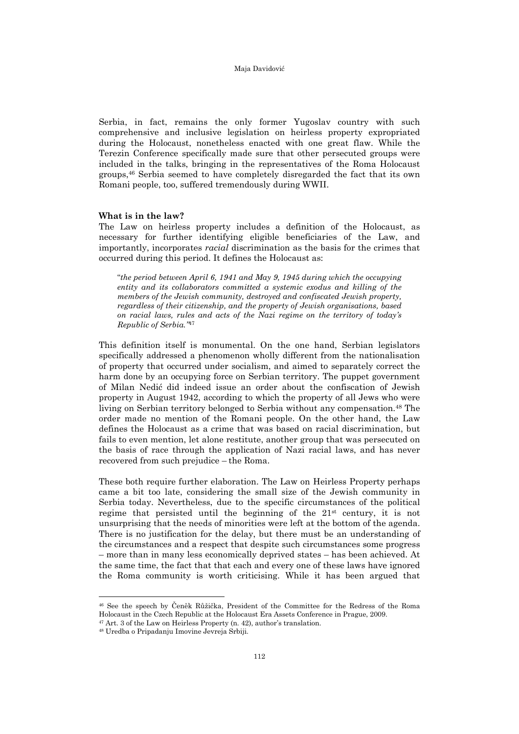Serbia, in fact, remains the only former Yugoslav country with such comprehensive and inclusive legislation on heirless property expropriated during the Holocaust, nonetheless enacted with one great flaw. While the Terezin Conference specifically made sure that other persecuted groups were included in the talks, bringing in the representatives of the Roma Holocaust groups,46 Serbia seemed to have completely disregarded the fact that its own Romani people, too, suffered tremendously during WWII.

## **What is in the law?**

The Law on heirless property includes a definition of the Holocaust, as necessary for further identifying eligible beneficiaries of the Law, and importantly, incorporates *racial* discrimination as the basis for the crimes that occurred during this period. It defines the Holocaust as:

"*the period between April 6, 1941 and May 9, 1945 during which the occupying entity and its collaborators committed a systemic exodus and killing of the members of the Jewish community, destroyed and confiscated Jewish property, regardless of their citizenship, and the property of Jewish organisations, based on racial laws, rules and acts of the Nazi regime on the territory of today's Republic of Serbia."* 47

This definition itself is monumental. On the one hand, Serbian legislators specifically addressed a phenomenon wholly different from the nationalisation of property that occurred under socialism, and aimed to separately correct the harm done by an occupying force on Serbian territory. The puppet government of Milan Nedić did indeed issue an order about the confiscation of Jewish property in August 1942, according to which the property of all Jews who were living on Serbian territory belonged to Serbia without any compensation.48 The order made no mention of the Romani people. On the other hand, the Law defines the Holocaust as a crime that was based on racial discrimination, but fails to even mention, let alone restitute, another group that was persecuted on the basis of race through the application of Nazi racial laws, and has never recovered from such prejudice – the Roma.

These both require further elaboration. The Law on Heirless Property perhaps came a bit too late, considering the small size of the Jewish community in Serbia today. Nevertheless, due to the specific circumstances of the political regime that persisted until the beginning of the 21st century, it is not unsurprising that the needs of minorities were left at the bottom of the agenda. There is no justification for the delay, but there must be an understanding of the circumstances and a respect that despite such circumstances some progress – more than in many less economically deprived states – has been achieved. At the same time, the fact that that each and every one of these laws have ignored the Roma community is worth criticising. While it has been argued that

<sup>46</sup> See the speech by Čeněk Růžička, President of the Committee for the Redress of the Roma Holocaust in the Czech Republic at the Holocaust Era Assets Conference in Prague, 2009.

l

<sup>47</sup> Art. 3 of the Law on Heirless Property (n. 42), author's translation.

<sup>48</sup> Uredba o Pripadanju Imovine Jevreja Srbiji.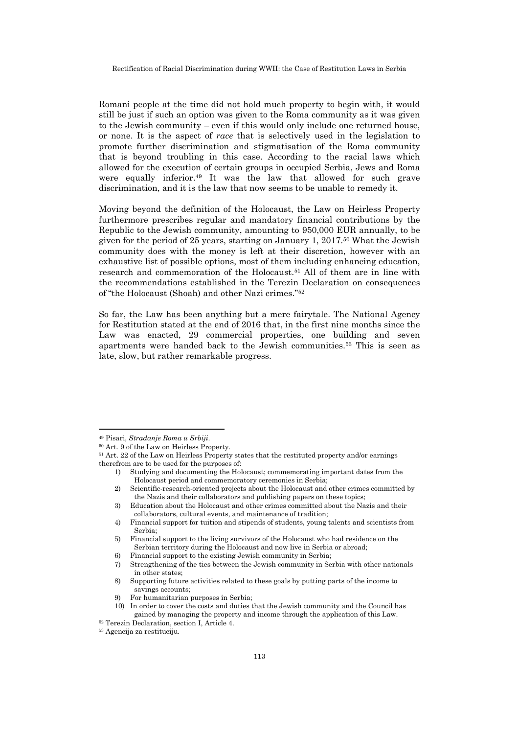Romani people at the time did not hold much property to begin with, it would still be just if such an option was given to the Roma community as it was given to the Jewish community – even if this would only include one returned house, or none. It is the aspect of *race* that is selectively used in the legislation to promote further discrimination and stigmatisation of the Roma community that is beyond troubling in this case. According to the racial laws which allowed for the execution of certain groups in occupied Serbia, Jews and Roma were equally inferior.<sup>49</sup> It was the law that allowed for such grave discrimination, and it is the law that now seems to be unable to remedy it.

Moving beyond the definition of the Holocaust, the Law on Heirless Property furthermore prescribes regular and mandatory financial contributions by the Republic to the Jewish community, amounting to 950,000 EUR annually, to be given for the period of 25 years, starting on January 1, 2017.50 What the Jewish community does with the money is left at their discretion, however with an exhaustive list of possible options, most of them including enhancing education, research and commemoration of the Holocaust.51 All of them are in line with the recommendations established in the Terezin Declaration on consequences of "the Holocaust (Shoah) and other Nazi crimes." <sup>52</sup>

So far, the Law has been anything but a mere fairytale. The National Agency for Restitution stated at the end of 2016 that, in the first nine months since the Law was enacted, 29 commercial properties, one building and seven apartments were handed back to the Jewish communities.53 This is seen as late, slow, but rather remarkable progress.

l

1) Studying and documenting the Holocaust; commemorating important dates from the Holocaust period and commemoratory ceremonies in Serbia;

4) Financial support for tuition and stipends of students, young talents and scientists from Serbia;

<sup>49</sup> Pisari, *Stradanje Roma u Srbiji*.

<sup>50</sup> Art. 9 of the Law on Heirless Property.

<sup>51</sup> Art. 22 of the Law on Heirless Property states that the restituted property and/or earnings therefrom are to be used for the purposes of:

<sup>2)</sup> Scientific-research-oriented projects about the Holocaust and other crimes committed by the Nazis and their collaborators and publishing papers on these topics;

<sup>3)</sup> Education about the Holocaust and other crimes committed about the Nazis and their collaborators, cultural events, and maintenance of tradition;

<sup>5)</sup> Financial support to the living survivors of the Holocaust who had residence on the Serbian territory during the Holocaust and now live in Serbia or abroad;

<sup>6)</sup> Financial support to the existing Jewish community in Serbia;

<sup>7)</sup> Strengthening of the ties between the Jewish community in Serbia with other nationals in other states;

<sup>8)</sup> Supporting future activities related to these goals by putting parts of the income to savings accounts;

<sup>9)</sup> For humanitarian purposes in Serbia;

<sup>10)</sup> In order to cover the costs and duties that the Jewish community and the Council has gained by managing the property and income through the application of this Law.

<sup>52</sup> Terezin Declaration, section I, Article 4.

<sup>53</sup> Agencija za restituciju.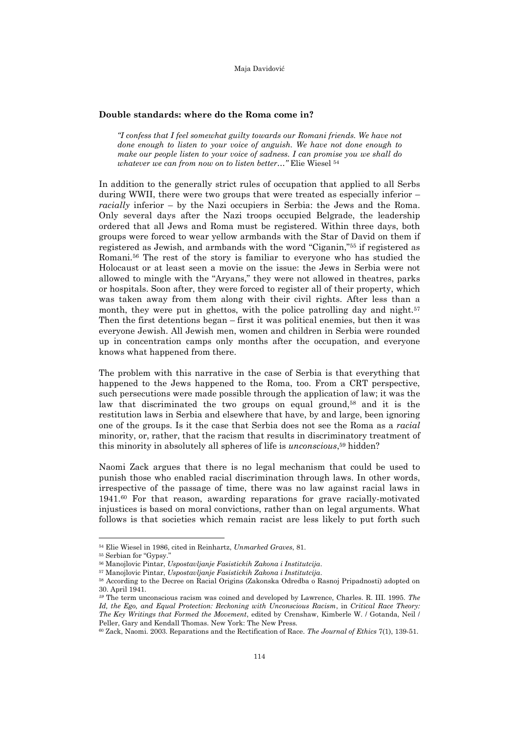#### **Double standards: where do the Roma come in?**

*"I confess that I feel somewhat guilty towards our Romani friends. We have not done enough to listen to your voice of anguish. We have not done enough to make our people listen to your voice of sadness. I can promise you we shall do whatever we can from now on to listen better…"* Elie Wiesel <sup>54</sup>

In addition to the generally strict rules of occupation that applied to all Serbs during WWII, there were two groups that were treated as especially inferior – *racially* inferior – by the Nazi occupiers in Serbia: the Jews and the Roma. Only several days after the Nazi troops occupied Belgrade, the leadership ordered that all Jews and Roma must be registered. Within three days, both groups were forced to wear yellow armbands with the Star of David on them if registered as Jewish, and armbands with the word "Ciganin," <sup>55</sup> if registered as Romani.56 The rest of the story is familiar to everyone who has studied the Holocaust or at least seen a movie on the issue: the Jews in Serbia were not allowed to mingle with the "Aryans," they were not allowed in theatres, parks or hospitals. Soon after, they were forced to register all of their property, which was taken away from them along with their civil rights. After less than a month, they were put in ghettos, with the police patrolling day and night.<sup>57</sup> Then the first detentions began – first it was political enemies, but then it was everyone Jewish. All Jewish men, women and children in Serbia were rounded up in concentration camps only months after the occupation, and everyone knows what happened from there.

The problem with this narrative in the case of Serbia is that everything that happened to the Jews happened to the Roma, too. From a CRT perspective, such persecutions were made possible through the application of law; it was the law that discriminated the two groups on equal ground,<sup>58</sup> and it is the restitution laws in Serbia and elsewhere that have, by and large, been ignoring one of the groups. Is it the case that Serbia does not see the Roma as a *racial* minority, or, rather, that the racism that results in discriminatory treatment of this minority in absolutely all spheres of life is *unconscious*, <sup>59</sup> hidden?

Naomi Zack argues that there is no legal mechanism that could be used to punish those who enabled racial discrimination through laws. In other words, irrespective of the passage of time, there was no law against racial laws in 1941.60 For that reason, awarding reparations for grave racially-motivated injustices is based on moral convictions, rather than on legal arguments. What follows is that societies which remain racist are less likely to put forth such

<sup>54</sup> Elie Wiesel in 1986, cited in Reinhartz, *Unmarked Graves*, 81.

<sup>55</sup> Serbian for "Gypsy."

<sup>56</sup> Manojlovic Pintar, *Uspostavljanje Fasistickih Zakona i Institutcija*.

<sup>57</sup> Manojlovic Pintar, *Uspostavljanje Fasistickih Zakona i Institutcija*.

<sup>58</sup> According to the Decree on Racial Origins (Zakonska Odredba o Rasnoj Pripadnosti) adopted on 30. April 1941.

*<sup>59</sup>* The term unconscious racism was coined and developed by Lawrence, Charles. R. III. 1995. *The Id, the Ego, and Equal Protection: Reckoning with Unconscious Racism*, in *Critical Race Theory: The Key Writings that Formed the Movement*, edited by Crenshaw, Kimberle W. / Gotanda, Neil / Peller, Gary and Kendall Thomas. New York: The New Press.

<sup>60</sup> Zack, Naomi. 2003. Reparations and the Rectification of Race. *The Journal of Ethics* 7(1), 139-51.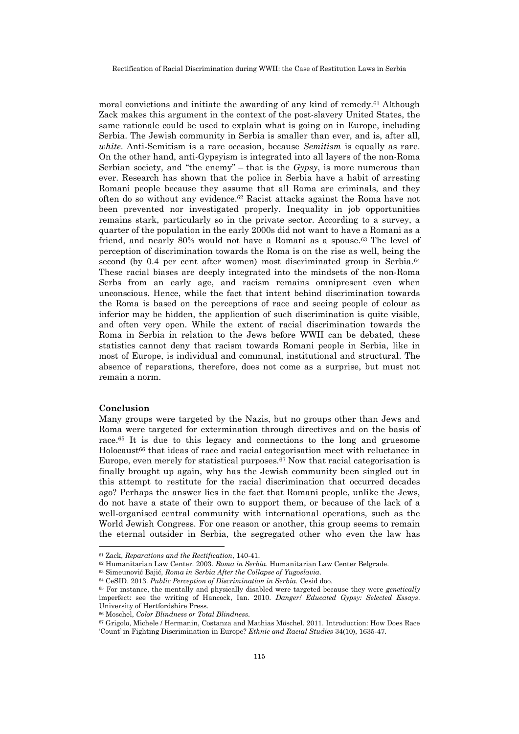moral convictions and initiate the awarding of any kind of remedy.61 Although Zack makes this argument in the context of the post-slavery United States, the same rationale could be used to explain what is going on in Europe, including Serbia. The Jewish community in Serbia is smaller than ever, and is, after all, *white*. Anti-Semitism is a rare occasion, because *Semitism* is equally as rare. On the other hand, anti-Gypsyism is integrated into all layers of the non-Roma Serbian society, and "the enemy" – that is the *Gypsy*, is more numerous than ever. Research has shown that the police in Serbia have a habit of arresting Romani people because they assume that all Roma are criminals, and they often do so without any evidence.62 Racist attacks against the Roma have not been prevented nor investigated properly. Inequality in job opportunities remains stark, particularly so in the private sector. According to a survey, a quarter of the population in the early 2000s did not want to have a Romani as a friend, and nearly 80% would not have a Romani as a spouse.<sup>63</sup> The level of perception of discrimination towards the Roma is on the rise as well, being the second (by 0.4 per cent after women) most discriminated group in Serbia.<sup>64</sup> These racial biases are deeply integrated into the mindsets of the non-Roma Serbs from an early age, and racism remains omnipresent even when unconscious. Hence, while the fact that intent behind discrimination towards the Roma is based on the perceptions of race and seeing people of colour as inferior may be hidden, the application of such discrimination is quite visible, and often very open. While the extent of racial discrimination towards the Roma in Serbia in relation to the Jews before WWII can be debated, these statistics cannot deny that racism towards Romani people in Serbia, like in most of Europe, is individual and communal, institutional and structural. The absence of reparations, therefore, does not come as a surprise, but must not remain a norm.

#### **Conclusion**

l

Many groups were targeted by the Nazis, but no groups other than Jews and Roma were targeted for extermination through directives and on the basis of race.<sup>65</sup> It is due to this legacy and connections to the long and gruesome Holocaust<sup>66</sup> that ideas of race and racial categorisation meet with reluctance in Europe, even merely for statistical purposes.67 Now that racial categorisation is finally brought up again, why has the Jewish community been singled out in this attempt to restitute for the racial discrimination that occurred decades ago? Perhaps the answer lies in the fact that Romani people, unlike the Jews, do not have a state of their own to support them, or because of the lack of a well-organised central community with international operations, such as the World Jewish Congress. For one reason or another, this group seems to remain the eternal outsider in Serbia, the segregated other who even the law has

<sup>61</sup> Zack, *Reparations and the Rectification*, 140-41.

<sup>62</sup> Humanitarian Law Center. 2003. *Roma in Serbia*. Humanitarian Law Center Belgrade.

<sup>63</sup> Simeunović Bajić, *Roma in Serbia After the Collapse of Yugoslavia*.

<sup>64</sup> CeSID. 2013. *Public Perception of Discrimination in Serbia.* Cesid doo.

<sup>65</sup> For instance, the mentally and physically disabled were targeted because they were *genetically* imperfect: see the writing of Hancock, Ian. 2010. *Danger! Educated Gypsy: Selected Essays*. University of Hertfordshire Press.

<sup>66</sup> Moschel, *Color Blindness or Total Blindness*.

<sup>67</sup> Grigolo, Michele / Hermanin, Costanza and Mathias Möschel. 2011. Introduction: How Does Race 'Count' in Fighting Discrimination in Europe? *Ethnic and Racial Studies* 34(10), 1635-47.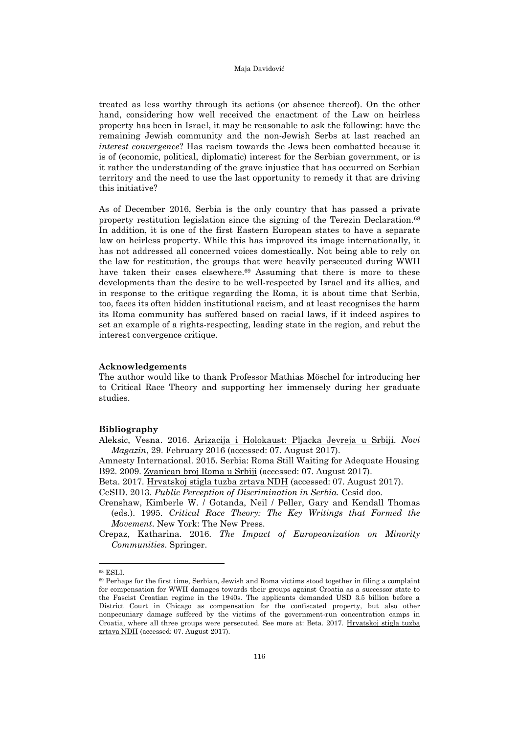treated as less worthy through its actions (or absence thereof). On the other hand, considering how well received the enactment of the Law on heirless property has been in Israel, it may be reasonable to ask the following: have the remaining Jewish community and the non-Jewish Serbs at last reached an *interest convergence*? Has racism towards the Jews been combatted because it is of (economic, political, diplomatic) interest for the Serbian government, or is it rather the understanding of the grave injustice that has occurred on Serbian territory and the need to use the last opportunity to remedy it that are driving this initiative?

As of December 2016, Serbia is the only country that has passed a private property restitution legislation since the signing of the Terezin Declaration.<sup>68</sup> In addition, it is one of the first Eastern European states to have a separate law on heirless property. While this has improved its image internationally, it has not addressed all concerned voices domestically. Not being able to rely on the law for restitution, the groups that were heavily persecuted during WWII have taken their cases elsewhere.<sup>69</sup> Assuming that there is more to these developments than the desire to be well-respected by Israel and its allies, and in response to the critique regarding the Roma, it is about time that Serbia, too, faces its often hidden institutional racism, and at least recognises the harm its Roma community has suffered based on racial laws, if it indeed aspires to set an example of a rights-respecting, leading state in the region, and rebut the interest convergence critique.

### **Acknowledgements**

The author would like to thank Professor Mathias Möschel for introducing her to Critical Race Theory and supporting her immensely during her graduate studies.

#### **Bibliography**

Aleksic, Vesna. 2016. [Arizacija i Holokaust: Pljacka Jevreja u Srbiji.](http://www.b92.net/info/vesti/pregled_stampe.php?yyyy=2016&mm=02&dd=29&nav_id=1101999) *Novi Magazin*, 29. February 2016 (accessed: 07. August 2017).

Amnesty International. 2015. Serbia: Roma Still Waiting for Adequate Housing B92. 2009. [Zvanican broj Roma u Srbiji](http://www.b92.net/info/vesti/index.php?yyyy=2009&mm=04&dd=07&nav_id=354362) (accessed: 07. August 2017).

Beta. 2017. [Hrvatskoj stigla tuzba zrtava](http://www.b92.net/info/vesti/index.php?yyyy=2017&mm=03&dd=13&nav_id=1239412) NDH (accessed: 07. August 2017).

CeSID. 2013. *Public Perception of Discrimination in Serbia.* Cesid doo.

Crenshaw, Kimberle W. / Gotanda, Neil / Peller, Gary and Kendall Thomas (eds.). 1995. *Critical Race Theory: The Key Writings that Formed the Movement*. New York: The New Press.

Crepaz, Katharina. 2016. *The Impact of Europeanization on Minority Communities*. Springer.

<sup>68</sup> ESLI.

<sup>69</sup> Perhaps for the first time, Serbian, Jewish and Roma victims stood together in filing a complaint for compensation for WWII damages towards their groups against Croatia as a successor state to the Fascist Croatian regime in the 1940s. The applicants demanded USD 3.5 billion before a District Court in Chicago as compensation for the confiscated property, but also other nonpecuniary damage suffered by the victims of the government-run concentration camps in Croatia, where all three groups were persecuted. See more at: Beta. 2017. [Hrvatskoj stigla tuzba](http://www.b92.net/info/vesti/index.php?yyyy=2017&mm=03&dd=13&nav_id=1239412)  [zrtava](http://www.b92.net/info/vesti/index.php?yyyy=2017&mm=03&dd=13&nav_id=1239412) NDH (accessed: 07. August 2017).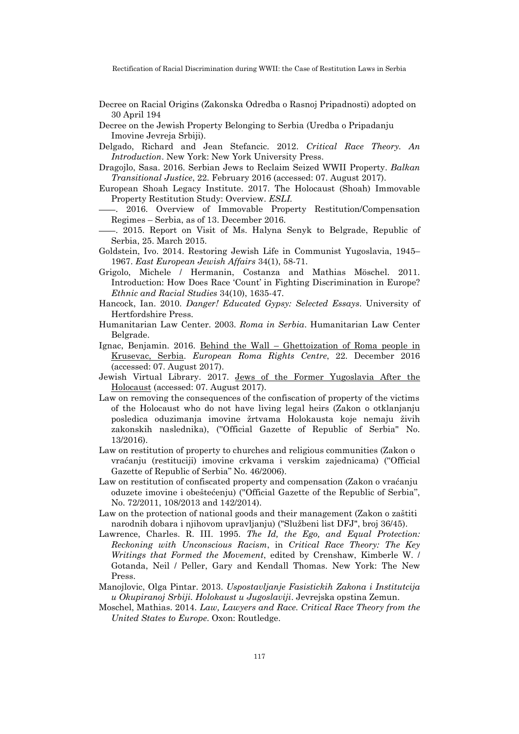- Decree on Racial Origins (Zakonska Odredba o Rasnoj Pripadnosti) adopted on 30 April 194
- Decree on the Jewish Property Belonging to Serbia (Uredba o Pripadanju Imovine Jevreja Srbiji).
- Delgado, Richard and Jean Stefancic. 2012. *Critical Race Theory. An Introduction*. New York: New York University Press.
- Dragojlo, Sasa. 2016. Serbian Jews to Reclaim Seized WWII Property. *Balkan Transitional Justice*, 22. February 2016 (accessed: 07. August 2017).
- European Shoah Legacy Institute. 2017. The Holocaust (Shoah) Immovable Property Restitution Study: Overview. *ESLI.*
- . 2016. Overview of Immovable Property Restitution/Compensation Regimes – Serbia, as of 13. December 2016.
- . 2015. Report on Visit of Ms. Halyna Senyk to Belgrade, Republic of Serbia, 25. March 2015.
- Goldstein, Ivo. 2014. Restoring Jewish Life in Communist Yugoslavia, 1945– 1967. *East European Jewish Affairs* 34(1), 58-71.
- Grigolo, Michele / Hermanin, Costanza and Mathias Möschel. 2011. Introduction: How Does Race 'Count' in Fighting Discrimination in Europe? *Ethnic and Racial Studies* 34(10), 1635-47.
- Hancock, Ian. 2010. *Danger! Educated Gypsy: Selected Essays*. University of Hertfordshire Press.
- Humanitarian Law Center. 2003. *Roma in Serbia*. Humanitarian Law Center Belgrade.
- Ignac, Benjamin. 2016. Behind the Wall – [Ghettoization of Roma people in](http://www.errc.org/blog/behind-the-wall-%E2%80%93-ghettoization-of-roma-people-in-krusevac-serbia/148) [Krusevac, Serbia.](http://www.errc.org/blog/behind-the-wall-%E2%80%93-ghettoization-of-roma-people-in-krusevac-serbia/148) *European Roma Rights Centre*, 22. December 2016 (accessed: 07. August 2017).
- Jewish Virtual Library. 2017. [Jews of the Former Yugoslavia After the](http://www.jewishvirtuallibrary.org/jews-of-the-former-yugoslavia-after-the-holocaust)  [Holocaust](http://www.jewishvirtuallibrary.org/jews-of-the-former-yugoslavia-after-the-holocaust) (accessed: 07. August 2017).
- Law on removing the consequences of the confiscation of property of the victims of the Holocaust who do not have living legal heirs (Zakon o otklanjanju posledica oduzimanja imovine žrtvama Holokausta koje nemaju živih zakonskih naslednika), (''Official Gazette of Republic of Serbia'' No. 13/2016).
- Law on restitution of property to churches and religious communities (Zakon o vraćanju (restituciji) imovine crkvama i verskim zajednicama) (''Official Gazette of Republic of Serbia'' No. 46/2006).
- Law on restitution of confiscated property and compensation (Zakon o vraćanju oduzete imovine i obeštećenju) (''Official Gazette of the Republic of Serbia'', No. 72/2011, 108/2013 and 142/2014).
- Law on the protection of national goods and their management (Zakon o zaštiti narodnih dobara i njihovom upravljanju) ("Službeni list DFJ", broj 36/45).
- Lawrence, Charles. R. III. 1995. *The Id, the Ego, and Equal Protection: Reckoning with Unconscious Racism*, in *Critical Race Theory: The Key Writings that Formed the Movement*, edited by Crenshaw, Kimberle W. / Gotanda, Neil / Peller, Gary and Kendall Thomas. New York: The New Press.
- Manojlovic, Olga Pintar. 2013. *Uspostavljanje Fasistickih Zakona i Institutcija u Okupiranoj Srbiji. Holokaust u Jugoslaviji*. Jevrejska opstina Zemun.
- Moschel, Mathias. 2014. *Law, Lawyers and Race. Critical Race Theory from the United States to Europe*. Oxon: Routledge.